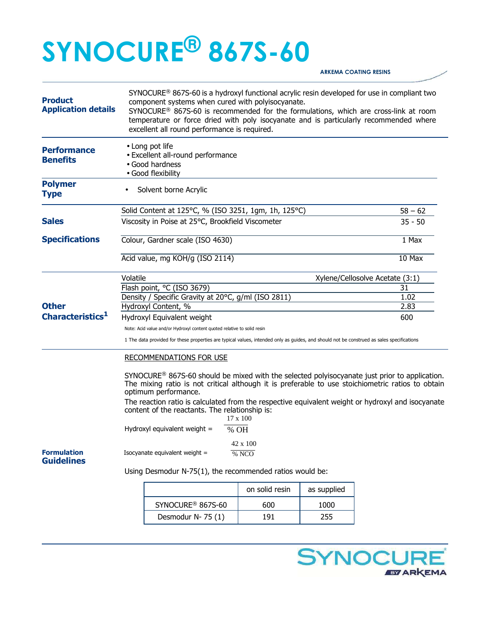## **SYNOCURE® 867S-60**

**ARKEMA COATING RESINS** 

| <b>Product</b><br><b>Application details</b> | SYNOCURE <sup>®</sup> 867S-60 is a hydroxyl functional acrylic resin developed for use in compliant two<br>component systems when cured with polyisocyanate.<br>SYNOCURE® 867S-60 is recommended for the formulations, which are cross-link at room<br>temperature or force dried with poly isocyanate and is particularly recommended where<br>excellent all round performance is required.            |                                                      |                |             |           |  |
|----------------------------------------------|---------------------------------------------------------------------------------------------------------------------------------------------------------------------------------------------------------------------------------------------------------------------------------------------------------------------------------------------------------------------------------------------------------|------------------------------------------------------|----------------|-------------|-----------|--|
| <b>Performance</b><br><b>Benefits</b>        | • Long pot life<br>• Excellent all-round performance<br>• Good hardness<br>· Good flexibility                                                                                                                                                                                                                                                                                                           |                                                      |                |             |           |  |
| <b>Polymer</b><br><b>Type</b>                |                                                                                                                                                                                                                                                                                                                                                                                                         | Solvent borne Acrylic                                |                |             |           |  |
|                                              |                                                                                                                                                                                                                                                                                                                                                                                                         | Solid Content at 125°C, % (ISO 3251, 1gm, 1h, 125°C) |                |             | $58 - 62$ |  |
| <b>Sales</b>                                 | Viscosity in Poise at 25°C, Brookfield Viscometer                                                                                                                                                                                                                                                                                                                                                       |                                                      |                |             | $35 - 50$ |  |
| <b>Specifications</b>                        | Colour, Gardner scale (ISO 4630)                                                                                                                                                                                                                                                                                                                                                                        |                                                      |                |             | 1 Max     |  |
|                                              |                                                                                                                                                                                                                                                                                                                                                                                                         | Acid value, mg KOH/g (ISO 2114)                      | $10$ Max       |             |           |  |
|                                              | Volatile<br>Xylene/Cellosolve Acetate (3:1)                                                                                                                                                                                                                                                                                                                                                             |                                                      |                |             |           |  |
|                                              | Flash point, °C (ISO 3679)                                                                                                                                                                                                                                                                                                                                                                              |                                                      |                |             | 31        |  |
|                                              | Density / Specific Gravity at 20°C, g/ml (ISO 2811)                                                                                                                                                                                                                                                                                                                                                     |                                                      |                |             | 1.02      |  |
| <b>Other</b>                                 |                                                                                                                                                                                                                                                                                                                                                                                                         | Hydroxyl Content, %                                  | 2.83           |             |           |  |
| Characteristics <sup>1</sup>                 | Hydroxyl Equivalent weight                                                                                                                                                                                                                                                                                                                                                                              |                                                      |                |             | 600       |  |
|                                              | Note: Acid value and/or Hydroxyl content quoted relative to solid resin                                                                                                                                                                                                                                                                                                                                 |                                                      |                |             |           |  |
|                                              | 1 The data provided for these properties are typical values, intended only as guides, and should not be construed as sales specifications                                                                                                                                                                                                                                                               |                                                      |                |             |           |  |
|                                              | <b>RECOMMENDATIONS FOR USE</b>                                                                                                                                                                                                                                                                                                                                                                          |                                                      |                |             |           |  |
|                                              | $SYNOCURE^@$ 867S-60 should be mixed with the selected polyisocyanate just prior to application.<br>The mixing ratio is not critical although it is preferable to use stoichiometric ratios to obtain<br>optimum performance.<br>The reaction ratio is calculated from the respective equivalent weight or hydroxyl and isocyanate<br>content of the reactants. The relationship is:<br>$17 \times 100$ |                                                      |                |             |           |  |
|                                              | Hydroxyl equivalent weight =<br>% OH                                                                                                                                                                                                                                                                                                                                                                    |                                                      |                |             |           |  |
| <b>Formulation</b><br><b>Guidelines</b>      | 42 x 100<br>Isocyanate equivalent weight =<br>% NCO                                                                                                                                                                                                                                                                                                                                                     |                                                      |                |             |           |  |
|                                              | Using Desmodur N-75(1), the recommended ratios would be:                                                                                                                                                                                                                                                                                                                                                |                                                      |                |             |           |  |
|                                              |                                                                                                                                                                                                                                                                                                                                                                                                         |                                                      | on solid resin | as supplied |           |  |
|                                              |                                                                                                                                                                                                                                                                                                                                                                                                         | SYNOCURE <sup>®</sup> 867S-60                        | 600            | 1000        |           |  |
|                                              |                                                                                                                                                                                                                                                                                                                                                                                                         | Desmodur N-75 (1)                                    | 191            | 255         |           |  |